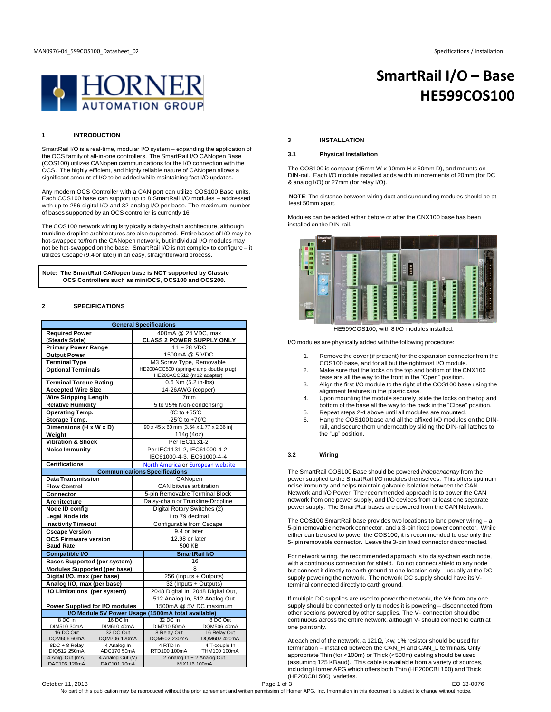**HE599COS100**

**SmartRail I/O – Base**



# **1 INTRODUCTION**

SmartRail I/O is a real-time, modular I/O system – expanding the application of the OCS family of all-in-one controllers. The SmartRail I/O CANopen Base (COS100) utilizes CANopen communications for the I/O connection with the OCS. The highly efficient, and highly reliable nature of CANopen allows a significant amount of I/O to be added while maintaining fast I/O updates.

Any modern OCS Controller with a CAN port can utilize COS100 Base units. Each COS100 base can support up to 8 SmartRail I/O modules – addressed with up to 256 digital I/O and 32 analog I/O per base. The maximum number of bases supported by an OCS controller is currently 16.

The COS100 network wiring is typically a daisy-chain architecture, although trunkline-dropline architectures are also supported. Entire bases of I/O may be hot-swapped to/from the CANopen network, but individual I/O modules may not be hot-swapped on the base. SmartRail I/O is not complex to configure – it utilizes Cscape (9.4 or later) in an easy, straightforward process.

**Note: The SmartRail CANopen base is NOT supported by Classic OCS Controllers such as miniOCS, OCS100 and OCS200.**

# **2 SPECIFICATIONS**

| <b>General Specifications</b>                            |                                 |                                   |                                                  |                         |  |
|----------------------------------------------------------|---------------------------------|-----------------------------------|--------------------------------------------------|-------------------------|--|
| <b>Required Power</b>                                    |                                 |                                   | 400mA @ 24 VDC, max                              |                         |  |
| (Steady State)                                           |                                 |                                   | <b>CLASS 2 POWER SUPPLY ONLY</b>                 |                         |  |
| <b>Primary Power Range</b>                               |                                 |                                   | $11 - 28$ VDC                                    |                         |  |
| <b>Output Power</b>                                      |                                 |                                   | 1500mA @ 5 VDC                                   |                         |  |
| <b>Terminal Type</b>                                     |                                 |                                   | M3 Screw Type, Removable                         |                         |  |
| <b>Optional Terminals</b>                                |                                 |                                   | HE200ACC500 (spring-clamp double plug)           |                         |  |
|                                                          |                                 |                                   | HE200ACC512 (m12 adapter)<br>0.6 Nm (5.2 in-lbs) |                         |  |
| <b>Terminal Torque Rating</b>                            |                                 |                                   | 14-26AWG (copper)                                |                         |  |
| <b>Accepted Wire Size</b>                                |                                 |                                   | 7 <sub>mm</sub>                                  |                         |  |
| <b>Wire Stripping Length</b><br><b>Relative Humidity</b> |                                 | 5 to 95% Non-condensing           |                                                  |                         |  |
| <b>Operating Temp.</b>                                   |                                 | $OC$ to +55 $C$                   |                                                  |                         |  |
|                                                          |                                 |                                   | -25 $C$ to +70 $C$                               |                         |  |
| Storage Temp.<br>Dimensions (H x W x D)                  |                                 |                                   | 90 x 45 x 60 mm [3.54 x 1.77 x 2.36 in]          |                         |  |
| Weight                                                   |                                 |                                   | 114g (4oz)                                       |                         |  |
| <b>Vibration &amp; Shock</b>                             |                                 |                                   | Per IEC1131-2                                    |                         |  |
| <b>Noise Immunity</b>                                    |                                 |                                   | Per IEC1131-2, IEC61000-4-2,                     |                         |  |
|                                                          |                                 |                                   | IEC61000-4-3, IEC61000-4-4                       |                         |  |
| <b>Certifications</b>                                    |                                 |                                   | North America or European website                |                         |  |
|                                                          |                                 |                                   | <b>Communications Specifications</b>             |                         |  |
| <b>Data Transmission</b>                                 |                                 |                                   | CANopen                                          |                         |  |
| <b>Flow Control</b>                                      |                                 | CAN bitwise arbitration           |                                                  |                         |  |
| Connector                                                |                                 | 5-pin Removable Terminal Block    |                                                  |                         |  |
| Architecture                                             |                                 | Daisy-chain or Trunkline-Dropline |                                                  |                         |  |
| Node ID config                                           |                                 | Digital Rotary Switches (2)       |                                                  |                         |  |
| <b>Legal Node Ids</b>                                    |                                 | 1 to 79 decimal                   |                                                  |                         |  |
| <b>Inactivity Timeout</b>                                |                                 |                                   | Configurable from Cscape                         |                         |  |
| <b>Cscape Version</b>                                    |                                 |                                   | 9.4 or later                                     |                         |  |
| <b>OCS Firmware version</b>                              |                                 |                                   | 12.98 or later                                   |                         |  |
| <b>Baud Rate</b>                                         |                                 |                                   | 500 KB                                           |                         |  |
| <b>Compatible I/O</b>                                    |                                 |                                   | SmartRail I/O                                    |                         |  |
| <b>Bases Supported (per system)</b>                      |                                 |                                   | 16                                               |                         |  |
| <b>Modules Supported (per base)</b>                      |                                 |                                   | 8                                                |                         |  |
| Digital I/O, max (per base)                              |                                 |                                   | 256 (Inputs + Outputs)                           |                         |  |
| Analog I/O, max (per base)                               |                                 |                                   | 32 (Inputs + Outputs)                            |                         |  |
| I/O Limitations (per system)                             |                                 |                                   | 2048 Digital In, 2048 Digital Out,               |                         |  |
|                                                          |                                 |                                   | 512 Analog In, 512 Analog Out                    |                         |  |
| Power Supplied for I/O modules                           |                                 |                                   | 1500mA @ 5V DC maximum                           |                         |  |
| I/O Module 5V Power Usage (1500mA total available)       |                                 |                                   |                                                  |                         |  |
| 8 DC In<br>DIM510 30mA                                   | 16 DC In                        |                                   | 32 DC In<br>DIM710 50mA                          | 8 DC Out<br>DQM506 40mA |  |
| 16 DC Out                                                | DIM610 40mA<br>32 DC Out        |                                   | 8 Relay Out                                      | 16 Relay Out            |  |
| DQM606 60mA                                              | DQM706 120mA                    |                                   | DQM502 230mA                                     | DQM602 420mA            |  |
| $8DC + 8$ Relay                                          | 4 Analog In                     |                                   | 4 RTD In                                         | 4 T-couple In           |  |
| DIQ512 250mA                                             | ADC170 50mA                     |                                   | RTD100 100mA                                     | THM100 100mA            |  |
| 4 Anlg. Out (mA)<br>DAC106 120mA                         | 4 Analog Out (V)<br>DAC101 70mA |                                   | 2 Analog In + 2 Analog Out<br>MIX116 100mA       |                         |  |

## **3 INSTALLATION**

# **3.1 Physical Installation**

The COS100 is compact (45mm W x 90mm H x 60mm D), and mounts on DIN-rail. Each I/O module installed adds width in increments of 20mm (for DC & analog I/O) or 27mm (for relay I/O).

**NOTE**: The distance between wiring duct and surrounding modules should be at least 50mm apart.

Modules can be added either before or after the CNX100 base has been installed on the DIN-rail.



HE599COS100, with 8 I/O modules installed.

I/O modules are physically added with the following procedure:

- 1. Remove the cover (if present) for the expansion connector from the COS100 base, and for all but the rightmost I/O module.
- 2. Make sure that the locks on the top and bottom of the CNX100 base are all the way to the front in the "Open" position.
- 3. Align the first I/O module to the right of the COS100 base using the alignment features in the plastic case.
- 4. Upon mounting the module securely, slide the locks on the top and bottom of the base all the way to the back in the "Close" position. 5. Repeat steps 2-4 above until all modules are mounted.
- 6. Hang the COS100 base and all the affixed I/O modules on the DINrail, and secure them underneath by sliding the DIN-rail latches to the "up" position.

## **3.2 Wiring**

The SmartRail COS100 Base should be powered *independently* from the power supplied to the SmartRail I/O modules themselves. This offers optimum noise immunity and helps maintain galvanic isolation between the CAN Network and I/O Power. The recommended approach is to power the CAN network from one power supply, and I/O devices from at least one separate power supply. The SmartRail bases are powered from the CAN Network.

The COS100 SmartRail base provides two locations to land power wiring – a 5-pin removable network connector, and a 3-pin fixed power connector. While either can be used to power the COS100, it is recommended to use only the 5- pin removable connector. Leave the 3-pin fixed connector disconnected.

For network wiring, the recommended approach is to daisy-chain each node, with a continuous connection for shield. Do not connect shield to any node but connect it directly to earth ground at one location only – usually at the DC supply powering the network. The network DC supply should have its Vterminal connected directly to earth ground.

If multiple DC supplies are used to power the network, the V+ from any one supply should be connected only to nodes it is powering – disconnected from other sections powered by other supplies. The V- connection shouldbe continuous across the entire network, although V- should connect to earth at one point only.

At each end of the network, a 121Ω, ¼w, 1% resistor should be used for termination – installed between the CAN\_H and CAN\_L terminals. Only appropriate Thin (for <100m) or Thick (<500m) cabling should be used (assuming 125 KBaud). This cable is available from a variety of sources, including Horner APG which offers both Thin (HE200CBL100) and Thick (HE200CBL500) varieties.

EO 13-0076<br>No part of this publication may be reproduced without the prior agreement and written permission of Horner APG, Inc. Information in this document is subject to change without notice.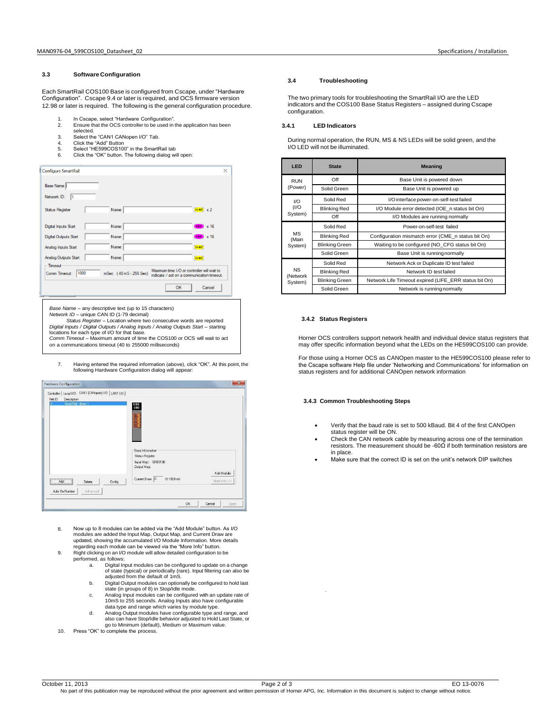# **3.3 Software Configuration**

Each SmartRail COS100 Base is configured from Cscape, under "Hardware Configuration". Cscape 9.4 or later is required, and OCS firmware version 12.98 or later is required. The following is the general configuration procedure.

- 1. In Cscape, select "Hardware Configuration".<br>2. Ensure that the OCS controller to be used in
- Ensure that the OCS controller to be used in the application has been
- selected. 3. Select the "CAN1 CANopen I/O" Tab.
- 
- 4. Click the "Add" Button<br>5. Select "HE599COS100 Select "HE599COS100" in the SmartRail tab
- 6. Click the "OK" button. The following dialog will open:

| <b>Configure SmartRail</b>         |                        | $\times$                                                                                  |
|------------------------------------|------------------------|-------------------------------------------------------------------------------------------|
| Base Name                          |                        |                                                                                           |
| Network ID:<br>I1                  |                        |                                                                                           |
| <b>Status Register</b>             | Name:                  | $16-817 \times 2$                                                                         |
| Digital Inputs Start               | Name:                  | $+80$ $\times 16$                                                                         |
| Digital Outputs Start              | Name:                  | $+$ and $\times 16$                                                                       |
| Analog Inputs Start                | Name:                  | 16-BIT                                                                                    |
| Analog Outputs Start               | Name:                  | 16-BIT                                                                                    |
| - Timeout<br>1000<br>Comm Timeout: | mSec (40 mS - 255 Sec) | Maximum time I/O or controller will wait to<br>indicate / act on a communication timeout. |
|                                    |                        | Cancel<br>OK                                                                              |

*Base Name* – any descriptive text (up to 15 characters) *Network ID* – unique CAN ID (1-79 decimal) *Status Register* – Location where two consecutive words are reported *Digital Inputs / Digital Outputs / Analog Inputs / Analog Outputs Start* – starting locations for each type of I/O for that base. *Comm Timeout* – Maximum amount of time the COS100 or OCS will wait to act on a communications timeout (40 to 255000 milliseconds)

7. Having entered the required information (above), click "OK". At this point, the following Hardware Configuration dialog will appear:



- 8. Now up to 8 modules can be added via the "Add Module" button. As I/O modules are added the Input Map, Output Map, and Current Draw are updated, showing the accumulated I/O Module Information. More details regarding each module can be viewed via the "More Info" button.
- 9. Right clicking on an I/O module will allow detailed configuration to be performed, as follows:
	- a. Digital Input modules can be configured to update on a change of state (typical) or periodically (rare). Input filtering can also be adjusted from the default of 1mS.
	- b. Digital Output modules can optionally be configured to hold last state (in groups of 8) in Stop/Idle mode.
	- c. Analog Input modules can be configured with an update rate of 10mS to 255 seconds. Analog Inputs also have configurable
	- data type and range which varies by module type. d. Analog Output modules have configurable type and range, and also can have Stop/Idle behavior adjusted to Hold Last State, or go to Minimum (default), Medium or Maximum value.
- Press "OK" to complete the process.

## **3.4 Troubleshooting**

The two primary tools for troubleshooting the SmartRail I/O are the LED indicators and the COS100 Base Status Registers – assigned during Cscape configuration.

# **3.4.1 LED Indicators**

During normal operation, the RUN, MS & NS LEDs will be solid green, and the I/O LED will not be illuminated.

| LED                              | <b>State</b>          | <b>Meaning</b>                                        |  |
|----------------------------------|-----------------------|-------------------------------------------------------|--|
| <b>RUN</b><br>(Power)            | Off                   | Base Unit is powered down                             |  |
|                                  | Solid Green           | Base Unit is powered up                               |  |
| 1/O<br>(1/O)<br>System)          | Solid Red             | I/O interface power-on-self-test failed               |  |
|                                  | <b>Blinking Red</b>   | I/O Module error detected (IOE n status bit On)       |  |
|                                  | Off                   | I/O Modules are running normally                      |  |
| <b>MS</b><br>(Main<br>System)    | Solid Red             | Power-on-self-test failed                             |  |
|                                  | <b>Blinking Red</b>   | Configuration mismatch error (CME n status bit On)    |  |
|                                  | <b>Blinking Green</b> | Waiting to be configured (NO CFG status bit On)       |  |
|                                  | Solid Green           | Base Unit is running normally                         |  |
| <b>NS</b><br>(Network<br>System) | Solid Red             | Network Ack or Duplicate ID test failed               |  |
|                                  | <b>Blinking Red</b>   | Network ID test failed                                |  |
|                                  | <b>Blinking Green</b> | Network Life Timeout expired (LIFE ERR status bit On) |  |
|                                  | Solid Green           | Network is running normally                           |  |

## **3.4.2 Status Registers**

11.

Horner OCS controllers support network health and individual device status registers that may offer specific information beyond what the LEDs on the HE599COS100 can provide.

For those using a Horner OCS as CANOpen master to the HE599COS100 please refer to the Cscape software Help file under 'Networking and Communications' for information on status registers and for additional CANOpen network information

# **3.4.3 Common Troubleshooting Steps**

- Verify that the baud rate is set to 500 kBaud. Bit 4 of the first CANOpen status register will be ON.
- Check the CAN network cable by measuring across one of the termination resistors. The measurement should be -60 $\Omega$  if both termination resistors are in place.
- Make sure that the correct ID is set on the unit's network DIP switches